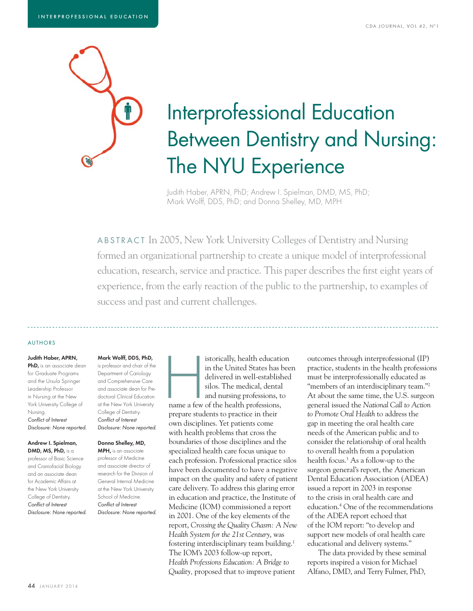

# Interprofessional Education Between Dentistry and Nursing: The NYU Experience

Judith Haber, APRN, PhD; Andrew I. Spielman, DMD, MS, PhD; Mark Wolff, DDS, PhD; and Donna Shelley, MD, MPH

ABSTRACT In 2005, New York University Colleges of Dentistry and Nursing formed an organizational partnership to create a unique model of interprofessional education, research, service and practice. This paper describes the first eight years of experience, from the early reaction of the public to the partnership, to examples of success and past and current challenges.

#### AUTHORS

Judith Haber, APRN, PhD, is an associate dean for Graduate Programs and the Ursula Springer Leadership Professor in Nursing at the New York University College of Nursing. Conflict of Interest Disclosure: None reported.

#### Andrew I. Spielman, DMD, MS, PhD, is a

professor of Basic Science and Craniofacial Biology and an associate dean for Academic Affairs at the New York University College of Dentistry. Conflict of Interest Disclosure: None reported.

## Mark Wolff, DDS, PhD,

is professor and chair of the Department of Cariology and Comprehensive Care and associate dean for Predoctoral Clinical Education at the New York University College of Dentistry. Conflict of Interest Disclosure: None reported.

#### Donna Shelley, MD,

MPH, is an associate professor of Medicine and associate director of research for the Division of General Internal Medicine at the New York University School of Medicine. Conflict of Interest Disclosure: None reported. istorically, health education<br>in the United States has bee<br>delivered in well-established<br>silos. The medical, dental<br>and nursing professions, to<br>name a few of the health professions, in the United States has been delivered in well-established silos. The medical, dental and nursing professions, to

name a few of the health professions, prepare students to practice in their own disciplines. Yet patients come with health problems that cross the boundaries of those disciplines and the specialized health care focus unique to each profession. Professional practice silos have been documented to have a negative impact on the quality and safety of patient care delivery. To address this glaring error in education and practice, the Institute of Medicine (IOM) commissioned a report in 2001. One of the key elements of the report, *Crossing the Quality Chasm: A New Health System for the 21st Century*, was fostering interdisciplinary team building.1 The IOM's 2003 follow-up report, *Health Professions Education: A Bridge to Quality,* proposed that to improve patient

outcomes through interprofessional (IP) practice, students in the health professions must be interprofessionally educated as "members of an interdisciplinary team."<sup>2</sup> At about the same time, the U.S. surgeon general issued the *National Call to Action to Promote Oral Health* to address the gap in meeting the oral health care needs of the American public and to consider the relationship of oral health to overall health from a population health focus.3 As a follow-up to the surgeon general's report, the American Dental Education Association (ADEA) issued a report in 2003 in response to the crisis in oral health care and education.4 One of the recommendations of the ADEA report echoed that of the IOM report: "to develop and support new models of oral health care educational and delivery systems."

The data provided by these seminal reports inspired a vision for Michael Alfano, DMD, and Terry Fulmer, PhD,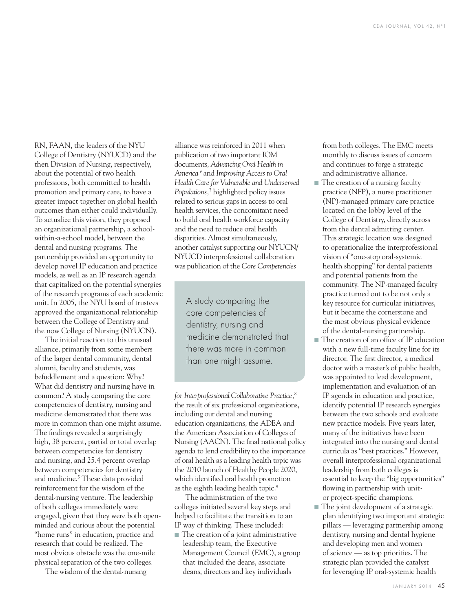RN, FAAN, the leaders of the NYU College of Dentistry (NYUCD) and the then Division of Nursing, respectively, about the potential of two health professions, both committed to health promotion and primary care, to have a greater impact together on global health outcomes than either could individually. To actualize this vision, they proposed an organizational partnership, a schoolwithin-a-school model, between the dental and nursing programs. The partnership provided an opportunity to develop novel IP education and practice models, as well as an IP research agenda that capitalized on the potential synergies of the research programs of each academic unit. In 2005, the NYU board of trustees approved the organizational relationship between the College of Dentistry and the now College of Nursing (NYUCN).

The initial reaction to this unusual alliance, primarily from some members of the larger dental community, dental alumni, faculty and students, was befuddlement and a question: Why? What did dentistry and nursing have in common? A study comparing the core competencies of dentistry, nursing and medicine demonstrated that there was more in common than one might assume. The findings revealed a surprisingly high, 38 percent, partial or total overlap between competencies for dentistry and nursing, and 25.4 percent overlap between competencies for dentistry and medicine.<sup>5</sup> These data provided reinforcement for the wisdom of the dental-nursing venture. The leadership of both colleges immediately were engaged, given that they were both openminded and curious about the potential "home runs" in education, practice and research that could be realized. The most obvious obstacle was the one-mile physical separation of the two colleges.

The wisdom of the dental-nursing

alliance was reinforced in 2011 when publication of two important IOM documents, *Advancing Oral Health in America* 6 and *Improving Access to Oral Health Care for Vulnerable and Underserved Populations,*<sup>7</sup> highlighted policy issues related to serious gaps in access to oral health services, the concomitant need to build oral health workforce capacity and the need to reduce oral health disparities. Almost simultaneously, another catalyst supporting our NYUCN/ NYUCD interprofessional collaboration was publication of the *Core Competencies* 

A study comparing the core competencies of dentistry, nursing and medicine demonstrated that there was more in common than one might assume.

*for Interprofessional Collaborative Practice,*<sup>8</sup> the result of six professional organizations, including our dental and nursing education organizations, the ADEA and the American Association of Colleges of Nursing (AACN). The final national policy agenda to lend credibility to the importance of oral health as a leading health topic was the 2010 launch of Healthy People 2020, which identified oral health promotion as the eighth leading health topic.9

The administration of the two colleges initiated several key steps and helped to facilitate the transition to an IP way of thinking. These included:

■ The creation of a joint administrative leadership team, the Executive Management Council (EMC), a group that included the deans, associate deans, directors and key individuals

from both colleges. The EMC meets monthly to discuss issues of concern and continues to forge a strategic and administrative alliance.

- The creation of a nursing faculty practice (NFP), a nurse practitioner (NP)-managed primary care practice located on the lobby level of the College of Dentistry, directly across from the dental admitting center. This strategic location was designed to operationalize the interprofessional vision of "one-stop oral-systemic health shopping" for dental patients and potential patients from the community. The NP-managed faculty practice turned out to be not only a key resource for curricular initiatives, but it became the cornerstone and the most obvious physical evidence of the dental-nursing partnership.
- The creation of an office of IP education with a new full-time faculty line for its director. The first director, a medical doctor with a master's of public health, was appointed to lead development, implementation and evaluation of an IP agenda in education and practice, identify potential IP research synergies between the two schools and evaluate new practice models. Five years later, many of the initiatives have been integrated into the nursing and dental curricula as "best practices." However, overall interprofessional organizational leadership from both colleges is essential to keep the "big opportunities" flowing in partnership with unitor project-specific champions.
- The joint development of a strategic plan identifying two important strategic pillars — leveraging partnership among dentistry, nursing and dental hygiene and developing men and women of science — as top priorities. The strategic plan provided the catalyst for leveraging IP oral-systemic health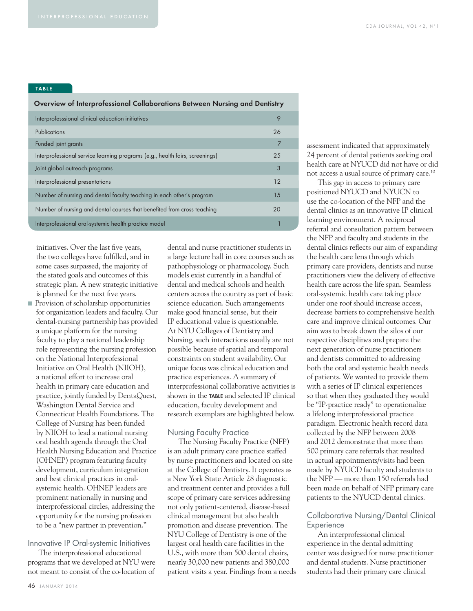#### TABLE

#### Overview of Interprofessional Collaborations Between Nursing and Dentistry

| Interprofesssional clinical education initiatives                            | 9  |  |
|------------------------------------------------------------------------------|----|--|
| Publications                                                                 | 26 |  |
| Funded joint grants                                                          | 7  |  |
| Interprofessional service learning programs (e.g., health fairs, screenings) | 25 |  |
| Joint global outreach programs                                               | 3  |  |
| Interprofessional presentations                                              | 12 |  |
| Number of nursing and dental faculty teaching in each other's program        | 15 |  |
| Number of nursing and dental courses that benefited from cross teaching      | 20 |  |
| Interprofessional oral-systemic health practice model                        |    |  |

initiatives. Over the last five years, the two colleges have fulfilled, and in some cases surpassed, the majority of the stated goals and outcomes of this strategic plan. A new strategic initiative is planned for the next five years.

■ Provision of scholarship opportunities for organization leaders and faculty. Our dental-nursing partnership has provided a unique platform for the nursing faculty to play a national leadership role representing the nursing profession on the National Interprofessional Initiative on Oral Health (NIIOH), a national effort to increase oral health in primary care education and practice, jointly funded by DentaQuest, Washington Dental Service and Connecticut Health Foundations. The College of Nursing has been funded by NIIOH to lead a national nursing oral health agenda through the Oral Health Nursing Education and Practice (OHNEP) program featuring faculty development, curriculum integration and best clinical practices in oralsystemic health. OHNEP leaders are prominent nationally in nursing and interprofessional circles, addressing the opportunity for the nursing profession to be a "new partner in prevention."

### Innovative IP Oral-systemic Initiatives

The interprofessional educational programs that we developed at NYU were not meant to consist of the co-location of dental and nurse practitioner students in a large lecture hall in core courses such as pathophysiology or pharmacology. Such models exist currently in a handful of dental and medical schools and health centers across the country as part of basic science education. Such arrangements make good financial sense, but their IP educational value is questionable. At NYU Colleges of Dentistry and Nursing, such interactions usually are not possible because of spatial and temporal constraints on student availability. Our unique focus was clinical education and practice experiences. A summary of interprofessional collaborative activities is shown in the TABLE and selected IP clinical education, faculty development and research exemplars are highlighted below.

#### Nursing Faculty Practice

The Nursing Faculty Practice (NFP) is an adult primary care practice staffed by nurse practitioners and located on site at the College of Dentistry. It operates as a New York State Article 28 diagnostic and treatment center and provides a full scope of primary care services addressing not only patient-centered, disease-based clinical management but also health promotion and disease prevention. The NYU College of Dentistry is one of the largest oral health care facilities in the U.S., with more than 500 dental chairs, nearly 30,000 new patients and 380,000 patient visits a year. Findings from a needs assessment indicated that approximately 24 percent of dental patients seeking oral health care at NYUCD did not have or did not access a usual source of primary care.10

This gap in access to primary care positioned NYUCD and NYUCN to use the co-location of the NFP and the dental clinics as an innovative IP clinical learning environment. A reciprocal referral and consultation pattern between the NFP and faculty and students in the dental clinics reflects our aim of expanding the health care lens through which primary care providers, dentists and nurse practitioners view the delivery of effective health care across the life span. Seamless oral-systemic health care taking place under one roof should increase access, decrease barriers to comprehensive health care and improve clinical outcomes. Our aim was to break down the silos of our respective disciplines and prepare the next generation of nurse practitioners and dentists committed to addressing both the oral and systemic health needs of patients. We wanted to provide them with a series of IP clinical experiences so that when they graduated they would be "IP-practice ready" to operationalize a lifelong interprofessional practice paradigm. Electronic health record data collected by the NFP between 2008 and 2012 demonstrate that more than 500 primary care referrals that resulted in actual appointments/visits had been made by NYUCD faculty and students to the NFP — more than 150 referrals had been made on behalf of NFP primary care patients to the NYUCD dental clinics.

#### Collaborative Nursing/Dental Clinical **Experience**

An interprofessional clinical experience in the dental admitting center was designed for nurse practitioner and dental students. Nurse practitioner students had their primary care clinical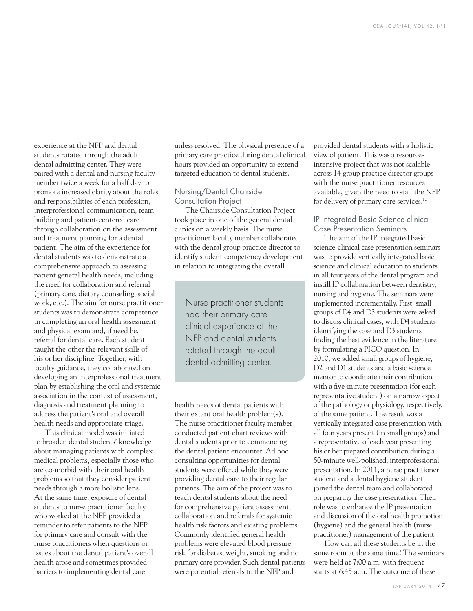experience at the NFP and dental students rotated through the adult dental admitting center. They were paired with a dental and nursing faculty member twice a week for a half day to promote increased clarity about the roles and responsibilities of each profession, interprofessional communication, team building and patient-centered care through collaboration on the assessment and treatment planning for a dental patient. The aim of the experience for dental students was to demonstrate a comprehensive approach to assessing patient general health needs, including the need for collaboration and referral (primary care, dietary counseling, social work, etc.). The aim for nurse practitioner students was to demonstrate competence in completing an oral health assessment and physical exam and, if need be, referral for dental care. Each student taught the other the relevant skills of his or her discipline. Together, with faculty guidance, they collaborated on developing an interprofessional treatment plan by establishing the oral and systemic association in the context of assessment, diagnosis and treatment planning to address the patient's oral and overall health needs and appropriate triage.

This clinical model was initiated to broaden dental students' knowledge about managing patients with complex medical problems, especially those who are co-morbid with their oral health problems so that they consider patient needs through a more holistic lens. At the same time, exposure of dental students to nurse practitioner faculty who worked at the NFP provided a reminder to refer patients to the NFP for primary care and consult with the nurse practitioners when questions or issues about the dental patient's overall health arose and sometimes provided barriers to implementing dental care

unless resolved. The physical presence of a primary care practice during dental clinical hours provided an opportunity to extend targeted education to dental students.

#### Nursing/Dental Chairside Consultation Project

The Chairside Consultation Project took place in one of the general dental clinics on a weekly basis. The nurse practitioner faculty member collaborated with the dental group practice director to identify student competency development in relation to integrating the overall

Nurse practitioner students had their primary care clinical experience at the NFP and dental students rotated through the adult dental admitting center.

health needs of dental patients with their extant oral health problem(s). The nurse practitioner faculty member conducted patient chart reviews with dental students prior to commencing the dental patient encounter. Ad hoc consulting opportunities for dental students were offered while they were providing dental care to their regular patients. The aim of the project was to teach dental students about the need for comprehensive patient assessment, collaboration and referrals for systemic health risk factors and existing problems. Commonly identified general health problems were elevated blood pressure, risk for diabetes, weight, smoking and no primary care provider. Such dental patients were potential referrals to the NFP and

provided dental students with a holistic view of patient. This was a resourceintensive project that was not scalable across 14 group practice director groups with the nurse practitioner resources available, given the need to staff the NFP for delivery of primary care services.10

#### IP Integrated Basic Science-clinical Case Presentation Seminars

The aim of the IP integrated basic science-clinical case presentation seminars was to provide vertically integrated basic science and clinical education to students in all four years of the dental program and instill IP collaboration between dentistry, nursing and hygiene. The seminars were implemented incrementally. First, small groups of D4 and D3 students were asked to discuss clinical cases, with D4 students identifying the case and D3 students finding the best evidence in the literature by formulating a PICO question. In 2010, we added small groups of hygiene, D2 and D1 students and a basic science mentor to coordinate their contribution with a five-minute presentation (for each representative student) on a narrow aspect of the pathology or physiology, respectively, of the same patient. The result was a vertically integrated case presentation with all four years present (in small groups) and a representative of each year presenting his or her prepared contribution during a 50-minute well-polished, interprofessional presentation. In 2011, a nurse practitioner student and a dental hygiene student joined the dental team and collaborated on preparing the case presentation. Their role was to enhance the IP presentation and discussion of the oral health promotion (hygiene) and the general health (nurse practitioner) management of the patient.

How can all these students be in the same room at the same time? The seminars were held at 7:00 a.m. with frequent starts at 6:45 a.m. The outcome of these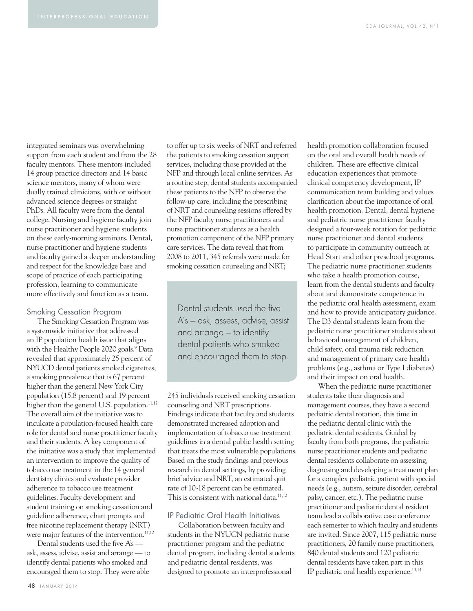integrated seminars was overwhelming support from each student and from the 28 faculty mentors. These mentors included 14 group practice directors and 14 basic science mentors, many of whom were dually trained clinicians, with or without advanced science degrees or straight PhDs. All faculty were from the dental college. Nursing and hygiene faculty join nurse practitioner and hygiene students on these early-morning seminars. Dental, nurse practitioner and hygiene students and faculty gained a deeper understanding and respect for the knowledge base and scope of practice of each participating profession, learning to communicate more effectively and function as a team.

#### Smoking Cessation Program

The Smoking Cessation Program was a systemwide initiative that addressed an IP population health issue that aligns with the Healthy People 2020 goals.<sup>9</sup> Data revealed that approximately 25 percent of NYUCD dental patients smoked cigarettes, a smoking prevalence that is 67 percent higher than the general New York City population (15.8 percent) and 19 percent higher than the general U.S. population.<sup>11,12</sup> The overall aim of the initiative was to inculcate a population-focused health care role for dental and nurse practitioner faculty and their students. A key component of the initiative was a study that implemented an intervention to improve the quality of tobacco use treatment in the 14 general dentistry clinics and evaluate provider adherence to tobacco use treatment guidelines. Faculty development and student training on smoking cessation and guideline adherence, chart prompts and free nicotine replacement therapy (NRT) were major features of the intervention.<sup>11,12</sup>

Dental students used the five A's ask, assess, advise, assist and arrange — to identify dental patients who smoked and encouraged them to stop. They were able

to offer up to six weeks of NRT and referred the patients to smoking cessation support services, including those provided at the NFP and through local online services. As a routine step, dental students accompanied these patients to the NFP to observe the follow-up care, including the prescribing of NRT and counseling sessions offered by the NFP faculty nurse practitioners and nurse practitioner students as a health promotion component of the NFP primary care services. The data reveal that from 2008 to 2011, 345 referrals were made for smoking cessation counseling and NRT;

Dental students used the five A's — ask, assess, advise, assist and arrange — to identify dental patients who smoked and encouraged them to stop.

245 individuals received smoking cessation counseling and NRT prescriptions. Findings indicate that faculty and students demonstrated increased adoption and implementation of tobacco use treatment guidelines in a dental public health setting that treats the most vulnerable populations. Based on the study findings and previous research in dental settings, by providing brief advice and NRT, an estimated quit rate of 10-18 percent can be estimated. This is consistent with national data. $11,12$ 

#### IP Pediatric Oral Health Initiatives

Collaboration between faculty and students in the NYUCN pediatric nurse practitioner program and the pediatric dental program, including dental students and pediatric dental residents, was designed to promote an interprofessional

health promotion collaboration focused on the oral and overall health needs of children. These are effective clinical education experiences that promote clinical competency development, IP communication team building and values clarification about the importance of oral health promotion. Dental, dental hygiene and pediatric nurse practitioner faculty designed a four-week rotation for pediatric nurse practitioner and dental students to participate in community outreach at Head Start and other preschool programs. The pediatric nurse practitioner students who take a health promotion course, learn from the dental students and faculty about and demonstrate competence in the pediatric oral health assessment, exam and how to provide anticipatory guidance. The D3 dental students learn from the pediatric nurse practitioner students about behavioral management of children, child safety, oral trauma risk reduction and management of primary care health problems (e.g., asthma or Type I diabetes) and their impact on oral health.

When the pediatric nurse practitioner students take their diagnosis and management courses, they have a second pediatric dental rotation, this time in the pediatric dental clinic with the pediatric dental residents. Guided by faculty from both programs, the pediatric nurse practitioner students and pediatric dental residents collaborate on assessing, diagnosing and developing a treatment plan for a complex pediatric patient with special needs (e.g., autism, seizure disorder, cerebral palsy, cancer, etc.). The pediatric nurse practitioner and pediatric dental resident team lead a collaborative case conference each semester to which faculty and students are invited. Since 2007, 115 pediatric nurse practitioners, 20 family nurse practitioners, 840 dental students and 120 pediatric dental residents have taken part in this IP pediatric oral health experience.13,14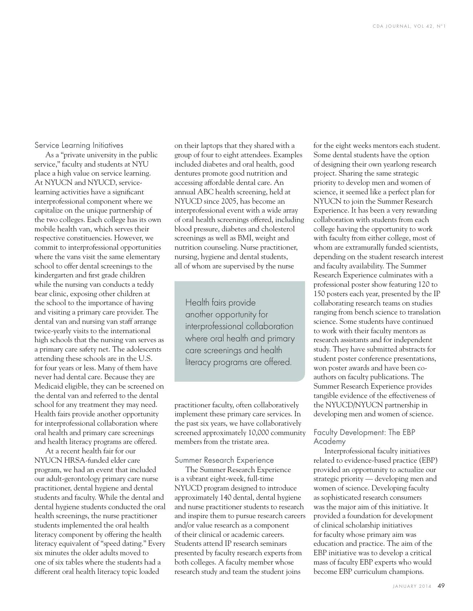#### Service Learning Initiatives

As a "private university in the public service," faculty and students at NYU place a high value on service learning. At NYUCN and NYUCD, servicelearning activities have a significant interprofessional component where we capitalize on the unique partnership of the two colleges. Each college has its own mobile health van, which serves their respective constituencies. However, we commit to interprofessional opportunities where the vans visit the same elementary school to offer dental screenings to the kindergarten and first grade children while the nursing van conducts a teddy bear clinic, exposing other children at the school to the importance of having and visiting a primary care provider. The dental van and nursing van staff arrange twice-yearly visits to the international high schools that the nursing van serves as a primary care safety net. The adolescents attending these schools are in the U.S. for four years or less. Many of them have never had dental care. Because they are Medicaid eligible, they can be screened on the dental van and referred to the dental school for any treatment they may need. Health fairs provide another opportunity for interprofessional collaboration where oral health and primary care screenings and health literacy programs are offered.

At a recent health fair for our NYUCN HRSA-funded elder care program, we had an event that included our adult-gerontology primary care nurse practitioner, dental hygiene and dental students and faculty. While the dental and dental hygiene students conducted the oral health screenings, the nurse practitioner students implemented the oral health literacy component by offering the health literacy equivalent of "speed dating." Every six minutes the older adults moved to one of six tables where the students had a different oral health literacy topic loaded

on their laptops that they shared with a group of four to eight attendees. Examples included diabetes and oral health, good dentures promote good nutrition and accessing affordable dental care. An annual ABC health screening, held at NYUCD since 2005, has become an interprofessional event with a wide array of oral health screenings offered, including blood pressure, diabetes and cholesterol screenings as well as BMI, weight and nutrition counseling. Nurse practitioner, nursing, hygiene and dental students, all of whom are supervised by the nurse

Health fairs provide another opportunity for interprofessional collaboration where oral health and primary care screenings and health literacy programs are offered.

practitioner faculty, often collaboratively implement these primary care services. In the past six years, we have collaboratively screened approximately 10,000 community members from the tristate area.

#### Summer Research Experience

The Summer Research Experience is a vibrant eight-week, full-time NYUCD program designed to introduce approximately 140 dental, dental hygiene and nurse practitioner students to research and inspire them to pursue research careers and/or value research as a component of their clinical or academic careers. Students attend IP research seminars presented by faculty research experts from both colleges. A faculty member whose research study and team the student joins

for the eight weeks mentors each student. Some dental students have the option of designing their own yearlong research project. Sharing the same strategic priority to develop men and women of science, it seemed like a perfect plan for NYUCN to join the Summer Research Experience. It has been a very rewarding collaboration with students from each college having the opportunity to work with faculty from either college, most of whom are extramurally funded scientists, depending on the student research interest and faculty availability. The Summer Research Experience culminates with a professional poster show featuring 120 to 150 posters each year, presented by the IP collaborating research teams on studies ranging from bench science to translation science. Some students have continued to work with their faculty mentors as research assistants and for independent study. They have submitted abstracts for student poster conference presentations, won poster awards and have been coauthors on faculty publications. The Summer Research Experience provides tangible evidence of the effectiveness of the NYUCD/NYUCN partnership in developing men and women of science.

#### Faculty Development: The EBP Academy

Interprofessional faculty initiatives related to evidence-based practice (EBP) provided an opportunity to actualize our strategic priority — developing men and women of science. Developing faculty as sophisticated research consumers was the major aim of this initiative. It provided a foundation for development of clinical scholarship initiatives for faculty whose primary aim was education and practice. The aim of the EBP initiative was to develop a critical mass of faculty EBP experts who would become EBP curriculum champions.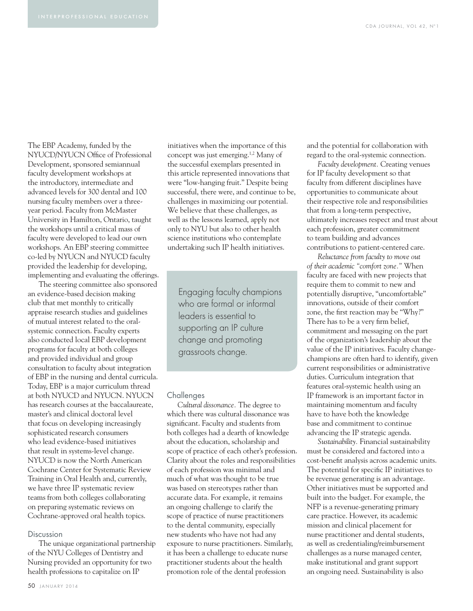The EBP Academy, funded by the NYUCD/NYUCN Office of Professional Development, sponsored semiannual faculty development workshops at the introductory, intermediate and advanced levels for 300 dental and 100 nursing faculty members over a threeyear period. Faculty from McMaster University in Hamilton, Ontario, taught the workshops until a critical mass of faculty were developed to lead our own workshops. An EBP steering committee co-led by NYUCN and NYUCD faculty provided the leadership for developing, implementing and evaluating the offerings.

The steering committee also sponsored an evidence-based decision making club that met monthly to critically appraise research studies and guidelines of mutual interest related to the oralsystemic connection. Faculty experts also conducted local EBP development programs for faculty at both colleges and provided individual and group consultation to faculty about integration of EBP in the nursing and dental curricula. Today, EBP is a major curriculum thread at both NYUCD and NYUCN. NYUCN has research courses at the baccalaureate, master's and clinical doctoral level that focus on developing increasingly sophisticated research consumers who lead evidence-based initiatives that result in systems-level change. NYUCD is now the North American Cochrane Center for Systematic Review Training in Oral Health and, currently, we have three IP systematic review teams from both colleges collaborating on preparing systematic reviews on Cochrane-approved oral health topics.

#### Discussion

The unique organizational partnership of the NYU Colleges of Dentistry and Nursing provided an opportunity for two health professions to capitalize on IP

initiatives when the importance of this concept was just emerging.1,2 Many of the successful exemplars presented in this article represented innovations that were "low-hanging fruit." Despite being successful, there were, and continue to be, challenges in maximizing our potential. We believe that these challenges, as well as the lessons learned, apply not only to NYU but also to other health science institutions who contemplate undertaking such IP health initiatives.

Engaging faculty champions who are formal or informal leaders is essential to supporting an IP culture change and promoting grassroots change.

#### **Challenges**

*Cultural dissonance.* The degree to which there was cultural dissonance was significant. Faculty and students from both colleges had a dearth of knowledge about the education, scholarship and scope of practice of each other's profession. Clarity about the roles and responsibilities of each profession was minimal and much of what was thought to be true was based on stereotypes rather than accurate data. For example, it remains an ongoing challenge to clarify the scope of practice of nurse practitioners to the dental community, especially new students who have not had any exposure to nurse practitioners. Similarly, it has been a challenge to educate nurse practitioner students about the health promotion role of the dental profession

and the potential for collaboration with regard to the oral-systemic connection.

*Faculty development.* Creating venues for IP faculty development so that faculty from different disciplines have opportunities to communicate about their respective role and responsibilities that from a long-term perspective, ultimately increases respect and trust about each profession, greater commitment to team building and advances contributions to patient-centered care.

*Reluctance from faculty to move out of their academic "comfort zone."* When faculty are faced with new projects that require them to commit to new and potentially disruptive, "uncomfortable" innovations, outside of their comfort zone, the first reaction may be "Why?" There has to be a very firm belief, commitment and messaging on the part of the organization's leadership about the value of the IP initiatives. Faculty changechampions are often hard to identify, given current responsibilities or administrative duties. Curriculum integration that features oral-systemic health using an IP framework is an important factor in maintaining momentum and faculty have to have both the knowledge base and commitment to continue advancing the IP strategic agenda.

*Sustainability.* Financial sustainability must be considered and factored into a cost-benefit analysis across academic units. The potential for specific IP initiatives to be revenue generating is an advantage. Other initiatives must be supported and built into the budget. For example, the NFP is a revenue-generating primary care practice. However, its academic mission and clinical placement for nurse practitioner and dental students, as well as credentialing/reimbursement challenges as a nurse managed center, make institutional and grant support an ongoing need. Sustainability is also